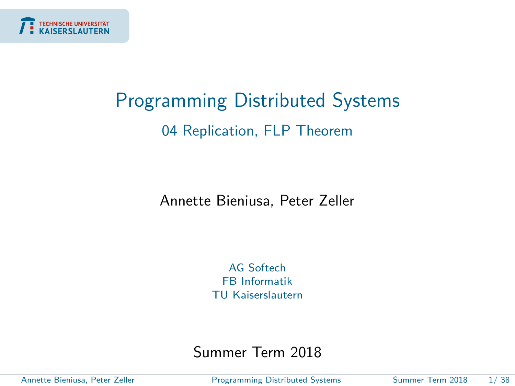<span id="page-0-0"></span>

# Programming Distributed Systems 04 Replication, FLP Theorem

Annette Bieniusa, Peter Zeller

AG Softech FB Informatik TU Kaiserslautern

Summer Term 2018

Annette Bieniusa, Peter Zeller [Programming Distributed Systems](#page-39-0) Summer Term 2018 1/ 38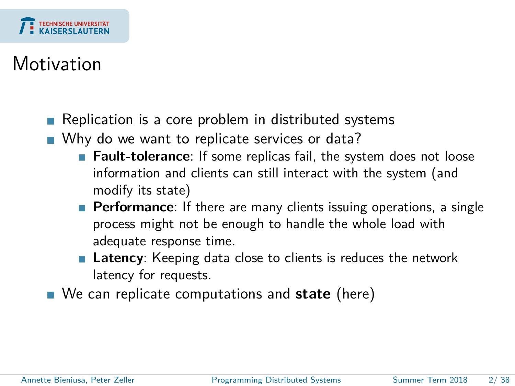

# **Motivation**

- Replication is a core problem in distributed systems
- Why do we want to replicate services or data?
	- **Fault-tolerance**: If some replicas fail, the system does not loose information and clients can still interact with the system (and modify its state)
	- **Performance**: If there are many clients issuing operations, a single process might not be enough to handle the whole load with adequate response time.
	- **Latency**: Keeping data close to clients is reduces the network latency for requests.
- We can replicate computations and **state** (here)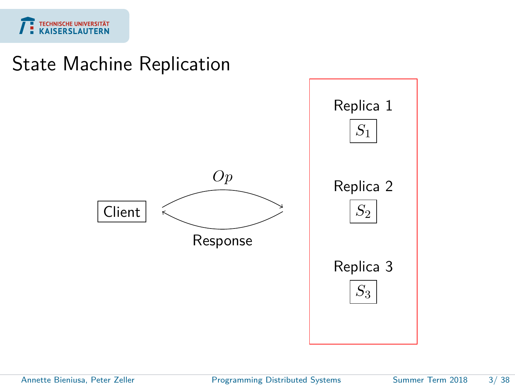

### State Machine Replication

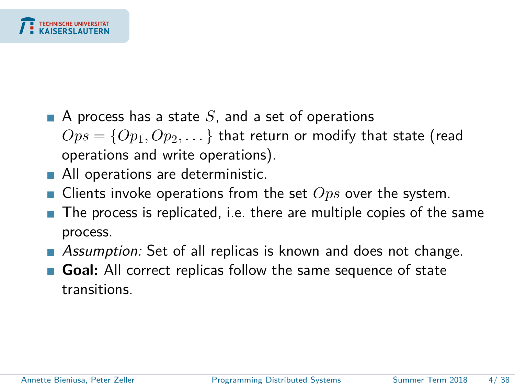

- $\blacksquare$  A process has a state S, and a set of operations  $Ops = \{Op_1, Op_2, \dots\}$  that return or modify that state (read operations and write operations).
- All operations are deterministic.
- Clients invoke operations from the set *Ops* over the system.
- The process is replicated, i.e. there are multiple copies of the same process.
- **Assumption:** Set of all replicas is known and does not change.
- **Goal:** All correct replicas follow the same sequence of state transitions.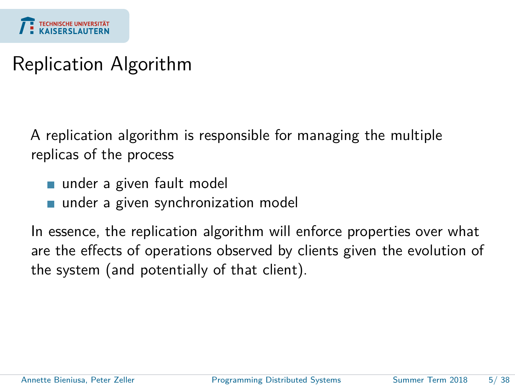

# Replication Algorithm

A replication algorithm is responsible for managing the multiple replicas of the process

- under a given fault model
- under a given synchronization model

In essence, the replication algorithm will enforce properties over what are the effects of operations observed by clients given the evolution of the system (and potentially of that client).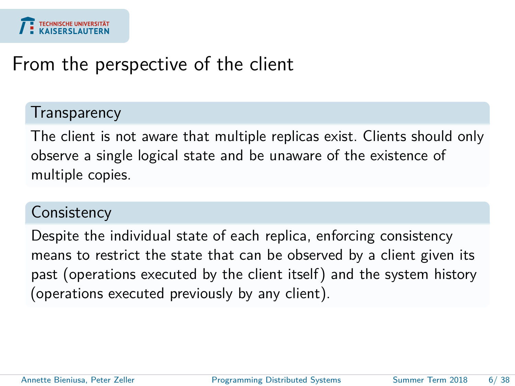

### From the perspective of the client

### **Transparency**

The client is not aware that multiple replicas exist. Clients should only observe a single logical state and be unaware of the existence of multiple copies.

### **Consistency**

Despite the individual state of each replica, enforcing consistency means to restrict the state that can be observed by a client given its past (operations executed by the client itself) and the system history (operations executed previously by any client).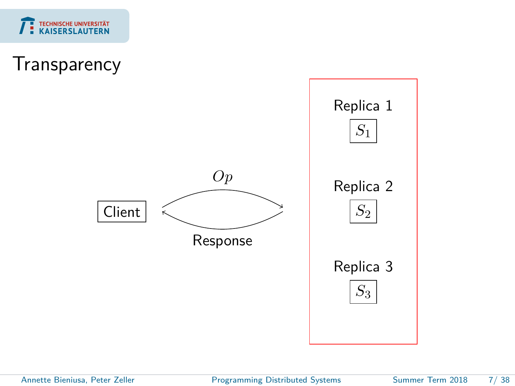

### **Transparency**

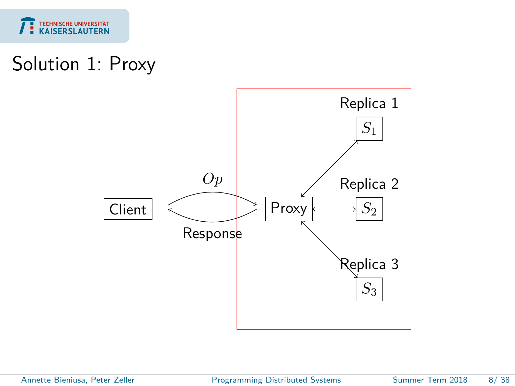

# Solution 1: Proxy



Annette Bieniusa, Peter Zeller [Programming Distributed Systems](#page-0-0) Summer Term 2018 8/38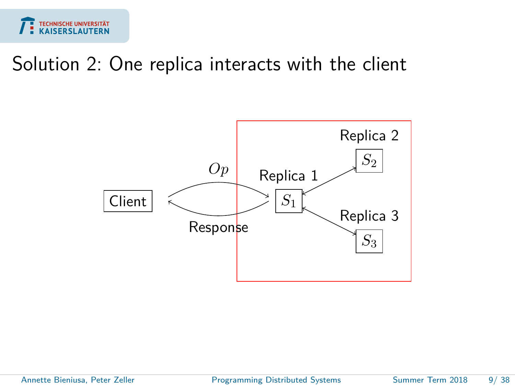

## Solution 2: One replica interacts with the client



Annette Bieniusa, Peter Zeller [Programming Distributed Systems](#page-0-0) Summer Term 2018 9/38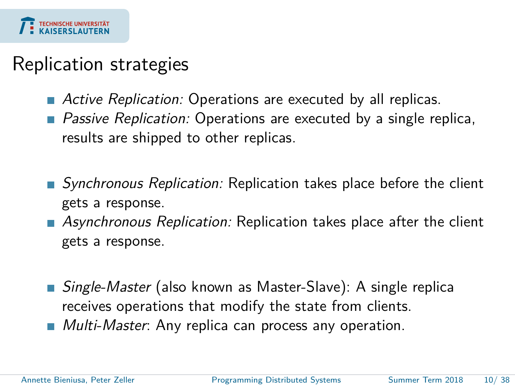

## Replication strategies

- Active Replication: Operations are executed by all replicas.
- **Passive Replication:** Operations are executed by a single replica, results are shipped to other replicas.
- Synchronous Replication: Replication takes place before the client gets a response.
- **Asynchronous Replication: Replication takes place after the client** gets a response.
- Single-Master (also known as Master-Slave): A single replica receives operations that modify the state from clients.
- **Multi-Master:** Any replica can process any operation.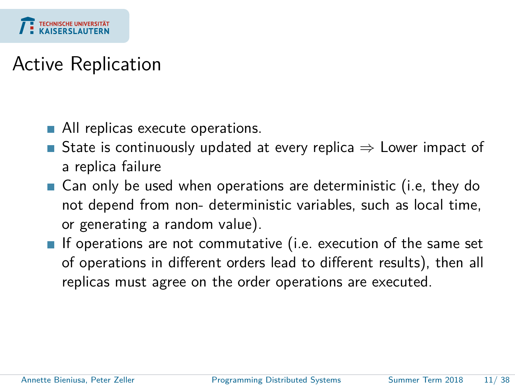

# Active Replication

- All replicas execute operations.
- State is continuously updated at every replica  $\Rightarrow$  Lower impact of a replica failure
- Can only be used when operations are deterministic (i.e, they do not depend from non- deterministic variables, such as local time, or generating a random value).
- If operations are not commutative (i.e. execution of the same set of operations in different orders lead to different results), then all replicas must agree on the order operations are executed.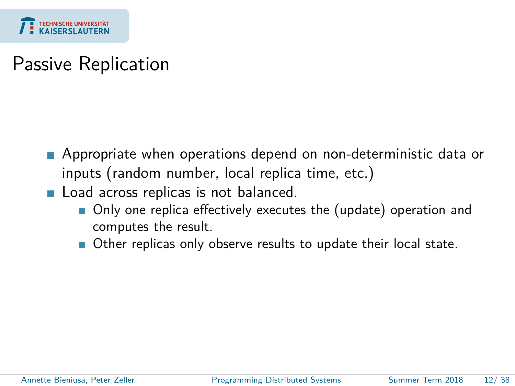

# Passive Replication

- Appropriate when operations depend on non-deterministic data or inputs (random number, local replica time, etc.)
- Load across replicas is not balanced.
	- Only one replica effectively executes the (update) operation and computes the result.
	- Other replicas only observe results to update their local state.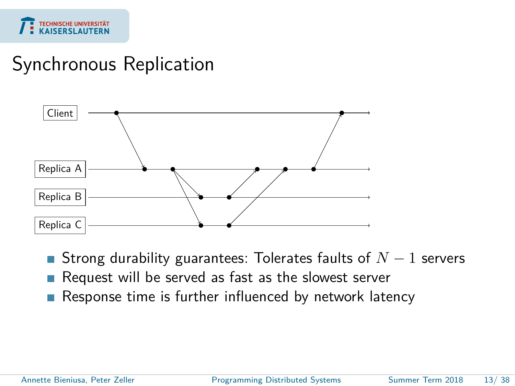

# Synchronous Replication



- Strong durability guarantees: Tolerates faults of *N* − 1 servers
- Request will be served as fast as the slowest server
- Response time is further influenced by network latency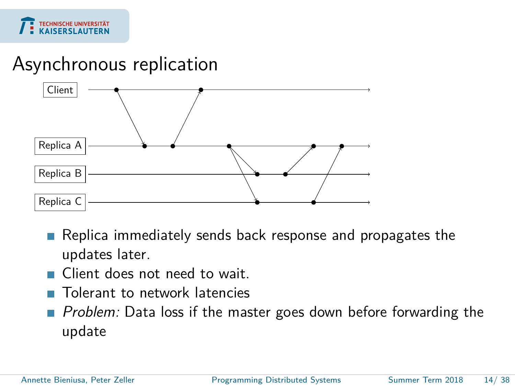

## Asynchronous replication



- Replica immediately sends back response and propagates the updates later.
- Client does not need to wait.
- Tolerant to network latencies
- Problem: Data loss if the master goes down before forwarding the update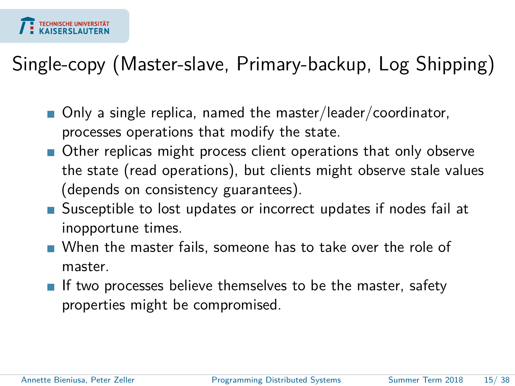

# Single-copy (Master-slave, Primary-backup, Log Shipping)

- Only a single replica, named the master/leader/coordinator, processes operations that modify the state.
- Other replicas might process client operations that only observe the state (read operations), but clients might observe stale values (depends on consistency guarantees).
- Susceptible to lost updates or incorrect updates if nodes fail at inopportune times.
- When the master fails, someone has to take over the role of master.
- If two processes believe themselves to be the master, safety properties might be compromised.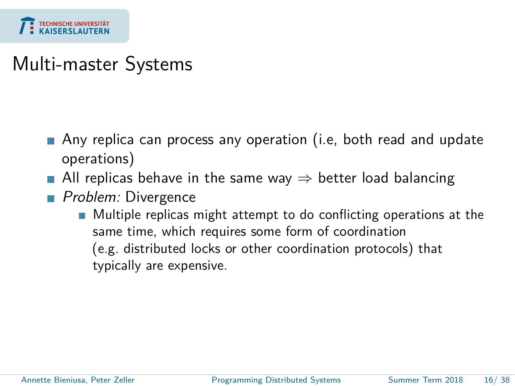

# Multi-master Systems

- Any replica can process any operation (i.e, both read and update operations)
- All replicas behave in the same way  $\Rightarrow$  better load balancing
- Problem: Divergence
	- **Multiple replicas might attempt to do conflicting operations at the** same time, which requires some form of coordination (e.g. distributed locks or other coordination protocols) that typically are expensive.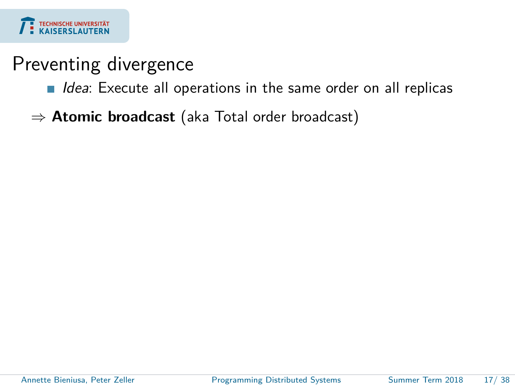

## Preventing divergence

- $\blacksquare$  Idea: Execute all operations in the same order on all replicas
- ⇒ **Atomic broadcast** (aka Total order broadcast)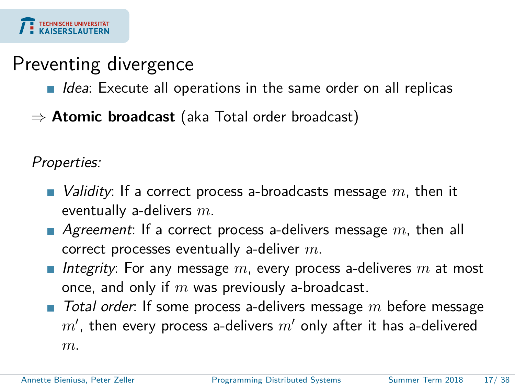

### Preventing divergence

- $\blacksquare$  Idea: Execute all operations in the same order on all replicas
- ⇒ **Atomic broadcast** (aka Total order broadcast)

Properties:

- *Validity*: If a correct process a-broadcasts message m, then it eventually a-delivers *m*.
- **Agreement:** If a correct process a-delivers message m, then all correct processes eventually a-deliver *m*.
- *Integrity*: For any message m, every process a-deliveres m at most once, and only if *m* was previously a-broadcast.
- Total order: If some process a-delivers message m before message  $m'$ , then every process a-delivers  $m'$  only after it has a-delivered *m*.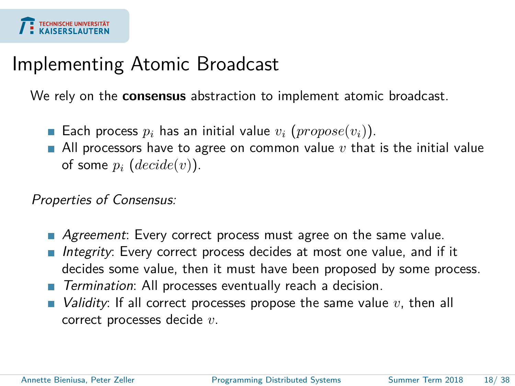# Implementing Atomic Broadcast

We rely on the **consensus** abstraction to implement atomic broadcast.

- Each process  $p_i$  has an initial value  $v_i$  ( $propose(v_i)$ ).
- All processors have to agree on common value  $v$  that is the initial value of some  $p_i$  ( $decide(v)$ ).

Properties of Consensus:

- Agreement: Every correct process must agree on the same value.
- Integrity: Every correct process decides at most one value, and if it decides some value, then it must have been proposed by some process.
- Termination: All processes eventually reach a decision.
- $\blacksquare$  *Validity*: If all correct processes propose the same value  $v$ , then all correct processes decide *v*.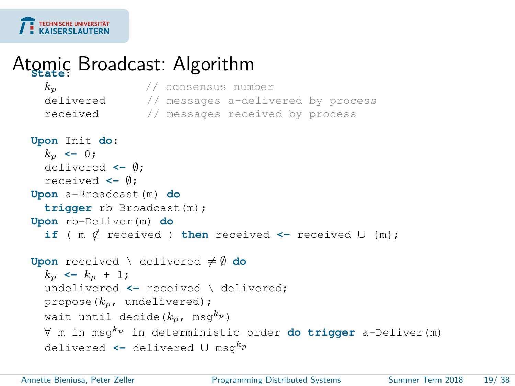

# Atomic Broadcast: Algorithm

| $k_{\mathcal{D}}$                                                           | // consensus number                                                                      |
|-----------------------------------------------------------------------------|------------------------------------------------------------------------------------------|
|                                                                             | delivered // messages a-delivered by process                                             |
|                                                                             | <b>received</b> // messages received by process                                          |
| Upon Init do:<br>$k_p \leftarrow 0$ ;<br>delivered $\leftarrow \emptyset$ ; |                                                                                          |
| received $\leftarrow \emptyset$ ;                                           |                                                                                          |
| Upon a-Broadcast (m) do                                                     |                                                                                          |
| triqqer rb-Broadcast (m) ;                                                  |                                                                                          |
| Upon rb-Deliver (m) do                                                      |                                                                                          |
|                                                                             | if ( $m \notin$ received ) then received <- received $\cup$ {m};                         |
| <b>Upon</b> received \ delivered $\neq \emptyset$ do                        |                                                                                          |
| $k_p \leftarrow k_p + 1;$                                                   |                                                                                          |
|                                                                             | undelivered $\leftarrow$ received \ delivered;                                           |
| propose $(k_p, \text{ undefined})$ ;                                        |                                                                                          |
| wait until decide $(k_p, \text{ msg } k_p)$                                 |                                                                                          |
|                                                                             | $\forall$ m in msq <sup>k</sup> p in deterministic order <b>do trigger</b> a-Deliver (m) |
|                                                                             | delivered $\leftarrow$ delivered $\cup$ msq <sup>kp</sup>                                |

÷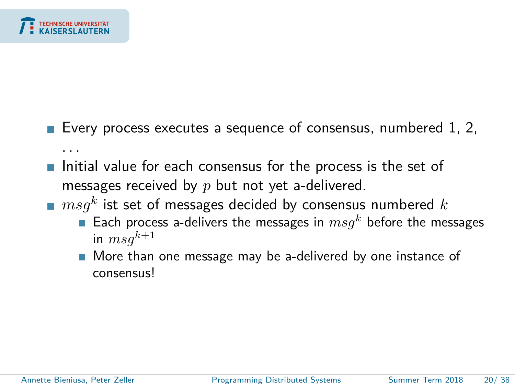

- Every process executes a sequence of consensus, numbered 1, 2, . . .
- Initial value for each consensus for the process is the set of messages received by *p* but not yet a-delivered.
- $\emph{msg}^k$  ist set of messages decided by consensus numbered  $k$ 
	- **Each process a-delivers the messages in**  $msq^k$  before the messages in  $msq^{k+1}$
	- More than one message may be a-delivered by one instance of consensus!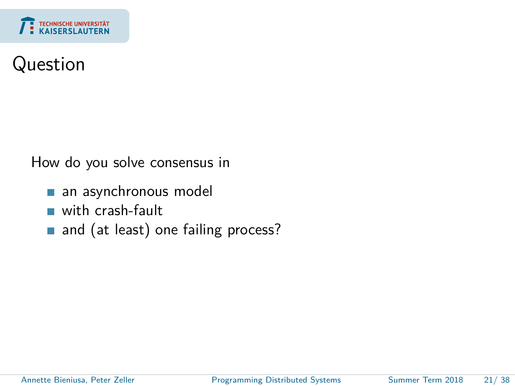

# Question

How do you solve consensus in

- an asynchronous model **T**
- with crash-fault m.
- and (at least) one failing process?  $\overline{\phantom{a}}$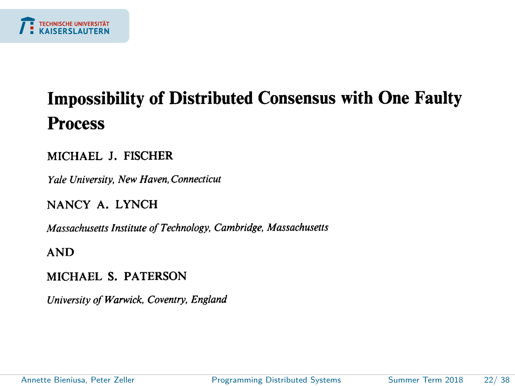

# **Impossibility of Distributed Consensus with One Faulty Process**

#### MICHAEL J. FISCHER

Yale University, New Haven, Connecticut

#### NANCY A. LYNCH

Massachusetts Institute of Technology, Cambridge, Massachusetts

#### **AND**

#### MICHAEL S. PATERSON

University of Warwick, Coventry, England

Annette Bieniusa, Peter Zeller [Programming Distributed Systems](#page-0-0) Summer Term 2018 22/ 38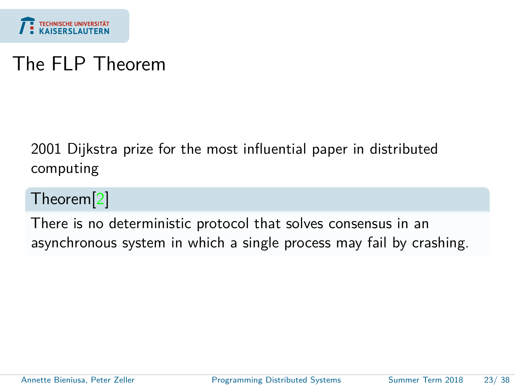

# The FLP Theorem

2001 Dijkstra prize for the most influential paper in distributed computing

Theorem[\[2\]](#page-39-1)

There is no deterministic protocol that solves consensus in an asynchronous system in which a single process may fail by crashing.

Annette Bieniusa, Peter Zeller [Programming Distributed Systems](#page-0-0) Summer Term 2018 23/ 38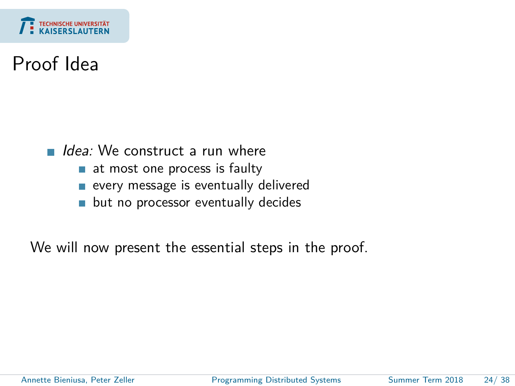

# Proof Idea

Idea: We construct a run where

- at most one process is faulty
- every message is eventually delivered
- **but no processor eventually decides**

We will now present the essential steps in the proof.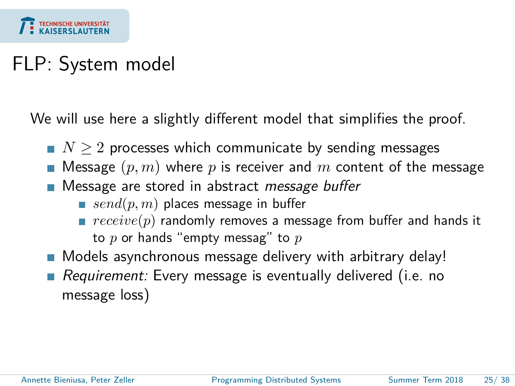

# FLP: System model

We will use here a slightly different model that simplifies the proof.

- $N \geq 2$  processes which communicate by sending messages
- Message  $(p, m)$  where  $p$  is receiver and  $m$  content of the message
- **Message are stored in abstract message buffer** 
	- *send*(*p*, *m*) places message in buffer
	- *receive*(p) randomly removes a message from buffer and hands it to *p* or hands "empty messag" to *p*
- Models asynchronous message delivery with arbitrary delay!
- Requirement: Every message is eventually delivered (i.e. no message loss)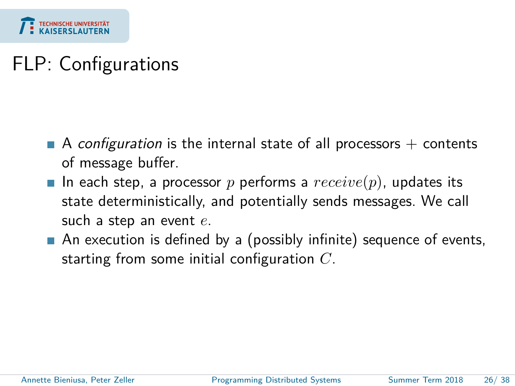

# FLP: Configurations

- A configuration is the internal state of all processors  $+$  contents of message buffer.
- In each step, a processor p performs a  $receive(p)$ , updates its state deterministically, and potentially sends messages. We call such a step an event *e*.
- An execution is defined by a (possibly infinite) sequence of events, starting from some initial configuration *C*.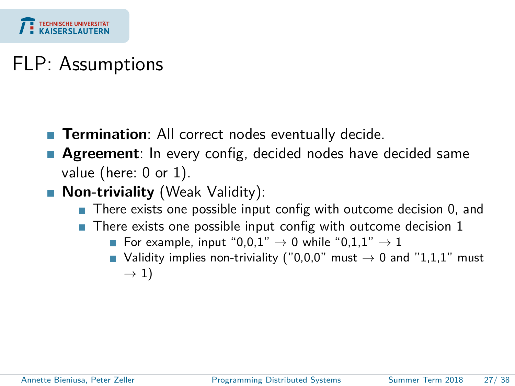

# FLP: Assumptions

- **Termination**: All correct nodes eventually decide.
- **Agreement**: In every config, decided nodes have decided same value (here: 0 or 1).
- **Non-triviality** (Weak Validity):
	- There exists one possible input config with outcome decision 0, and
	- $\blacksquare$  There exists one possible input config with outcome decision 1
		- For example, input "0,0,1"  $\rightarrow$  0 while "0,1,1"  $\rightarrow$  1
		- Validity implies non-triviality ("0,0,0" must  $\rightarrow$  0 and "1,1,1" must  $\rightarrow$  1)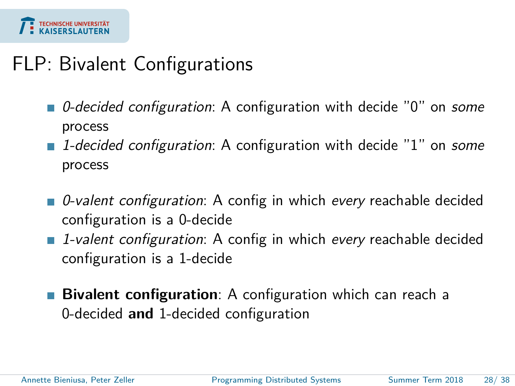

# FLP: Bivalent Configurations

- 0-decided configuration: A configuration with decide "0" on some process
- 1-decided configuration: A configuration with decide "1" on some process
- 0-valent configuration: A config in which every reachable decided configuration is a 0-decide
- **1**-valent configuration: A config in which every reachable decided configuration is a 1-decide
- **Bivalent configuration**: A configuration which can reach a 0-decided **and** 1-decided configuration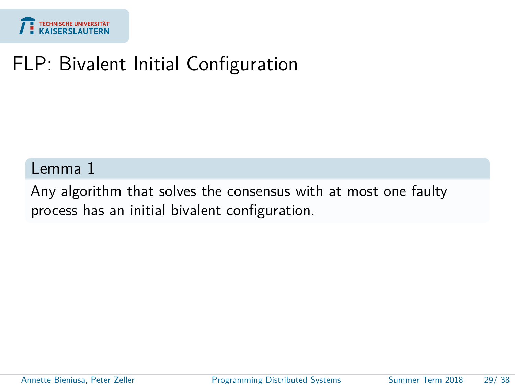

# FLP: Bivalent Initial Configuration

### Lemma 1

Any algorithm that solves the consensus with at most one faulty process has an initial bivalent configuration.

Annette Bieniusa, Peter Zeller [Programming Distributed Systems](#page-0-0) Summer Term 2018 29/38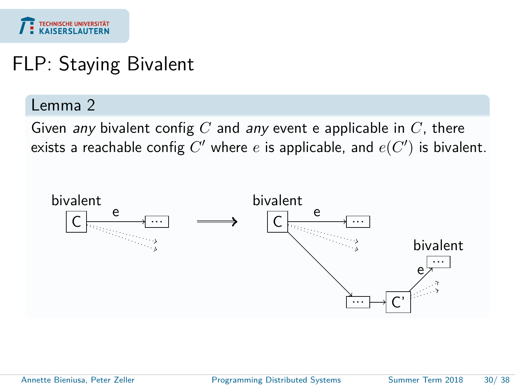

# FLP: Staying Bivalent

### Lemma 2

Given any bivalent config *C* and any event e applicable in *C*, there exists a reachable config  $C'$  where  $e$  is applicable, and  $e(C')$  is bivalent.



Annette Bieniusa, Peter Zeller [Programming Distributed Systems](#page-0-0) Summer Term 2018 30/ 38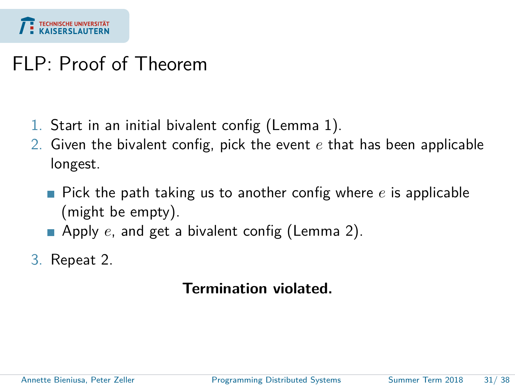

## FLP: Proof of Theorem

- 1. Start in an initial bivalent config (Lemma 1).
- 2. Given the bivalent config, pick the event *e* that has been applicable longest.
	- Pick the path taking us to another config where *e* is applicable (might be empty).
	- **Apply** *e*, and get a bivalent config (Lemma 2).

3. Repeat 2.

### **Termination violated.**

Annette Bieniusa, Peter Zeller **[Programming Distributed Systems](#page-0-0)** Summer Term 2018 31/38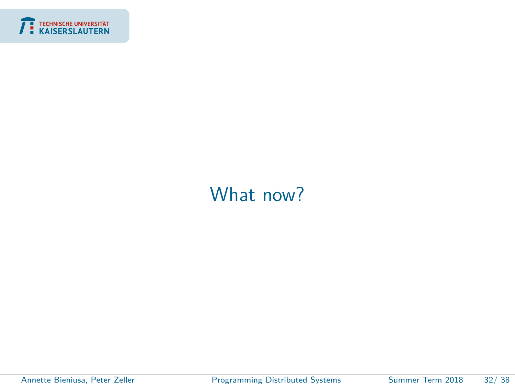<span id="page-32-0"></span>

# [What now?](#page-32-0)

ł

Annette Bieniusa, Peter Zeller [Programming Distributed Systems](#page-0-0) Summer Term 2018 32/ 38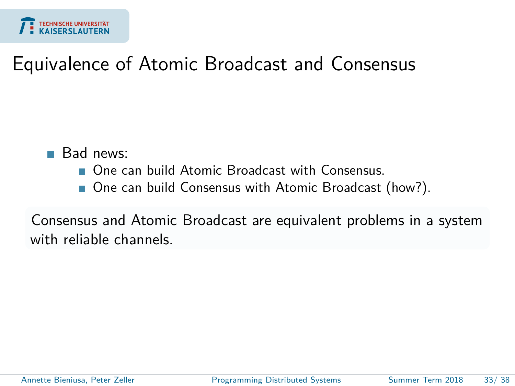

# Equivalence of Atomic Broadcast and Consensus

- Bad news:
	- One can build Atomic Broadcast with Consensus
	- One can build Consensus with Atomic Broadcast (how?).

Consensus and Atomic Broadcast are equivalent problems in a system with reliable channels.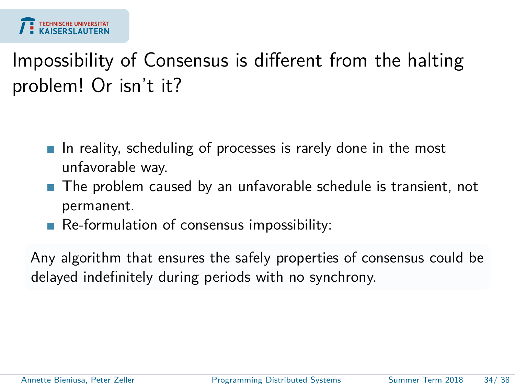

# Impossibility of Consensus is different from the halting problem! Or isn't it?

- In reality, scheduling of processes is rarely done in the most unfavorable way.
- The problem caused by an unfavorable schedule is transient, not permanent.
- Re-formulation of consensus impossibility:

Any algorithm that ensures the safely properties of consensus could be delayed indefinitely during periods with no synchrony.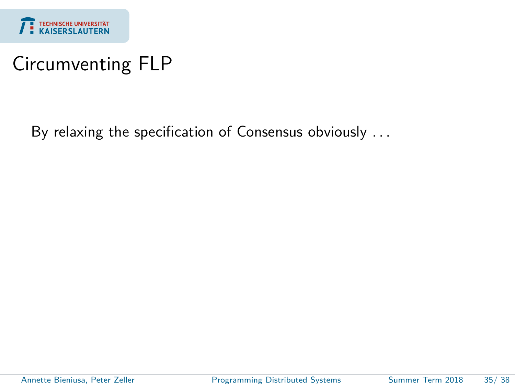

# Circumventing FLP

By relaxing the specification of Consensus obviously . . .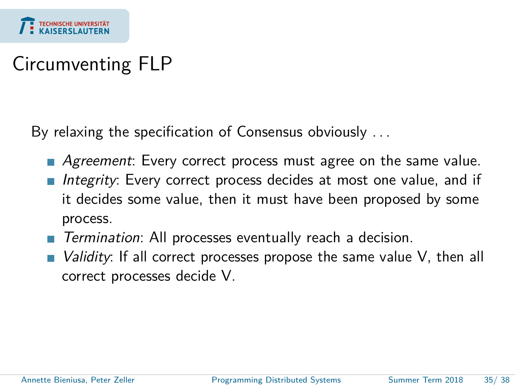

# Circumventing FLP

By relaxing the specification of Consensus obviously . . .

- **Agreement:** Every correct process must agree on the same value.
- Integrity: Every correct process decides at most one value, and if it decides some value, then it must have been proposed by some process.
- Termination: All processes eventually reach a decision.
- *Validity*: If all correct processes propose the same value V, then all correct processes decide V.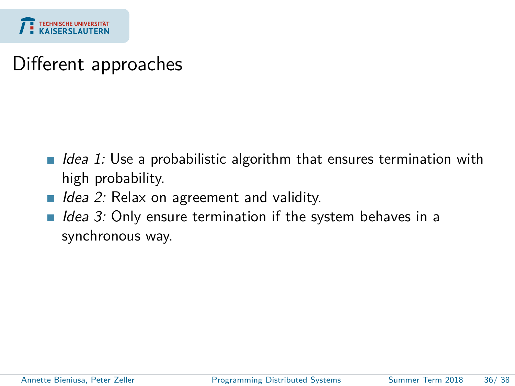

## Different approaches

- Idea 1: Use a probabilistic algorithm that ensures termination with  $\overline{\phantom{a}}$ high probability.
- $\blacksquare$  Idea 2: Relax on agreement and validity.
- I Idea 3: Only ensure termination if the system behaves in a synchronous way.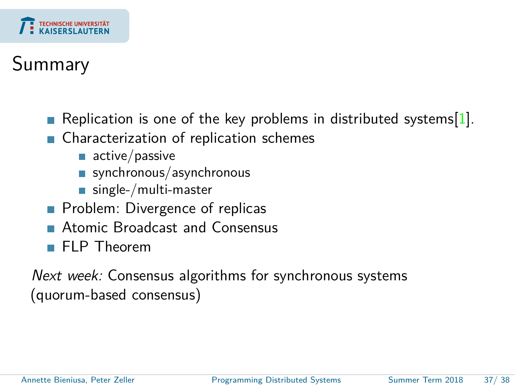

# Summary

- Replication is one of the key problems in distributed systems[\[1\]](#page-39-2).
- Characterization of replication schemes
	- $\blacksquare$  active/passive
	- synchronous/asynchronous
	- single-/multi-master
- **Problem: Divergence of replicas**
- Atomic Broadcast and Consensus
- **FLP** Theorem

Next week: Consensus algorithms for synchronous systems (quorum-based consensus)